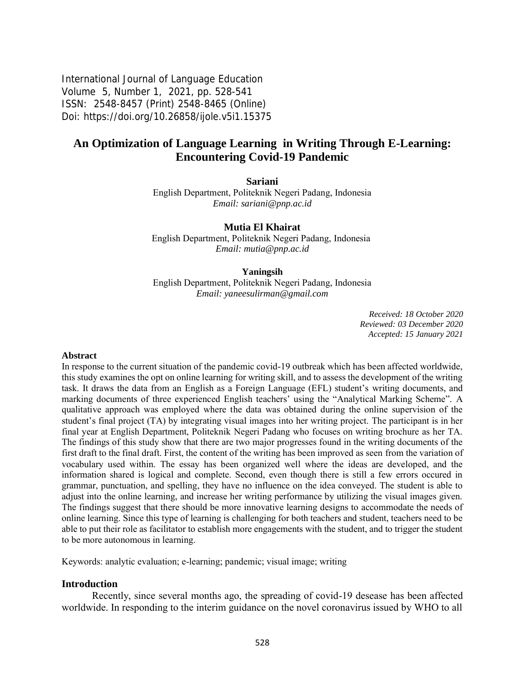International Journal of Language Education Volume 5, Number 1, 2021, pp. 528-541 ISSN: 2548-8457 (Print) 2548-8465 (Online) Doi: <https://doi.org/10.26858/ijole.v5i1.15375>

# **An Optimization of Language Learning in Writing Through E-Learning: Encountering Covid-19 Pandemic**

**Sariani**

English Department, Politeknik Negeri Padang, Indonesia *Email: [sariani@pnp.ac.id](mailto:sariani@pnp.ac.id)*

**Mutia El Khairat** English Department, Politeknik Negeri Padang, Indonesia

*Email: [mutia@pnp.ac.id](mailto:mutia@pnp.ac.id)*

#### **Yaningsih**

English Department, Politeknik Negeri Padang, Indonesia *Email: yaneesulirman@gmail.com*

> *Received: 18 October 2020 Reviewed: 03 December 2020 Accepted: 15 January 2021*

#### **Abstract**

In response to the current situation of the pandemic covid-19 outbreak which has been affected worldwide, this study examines the opt on online learning for writing skill, and to assess the development of the writing task. It draws the data from an English as a Foreign Language (EFL) student's writing documents, and marking documents of three experienced English teachers' using the "Analytical Marking Scheme". A qualitative approach was employed where the data was obtained during the online supervision of the student's final project (TA) by integrating visual images into her writing project. The participant is in her final year at English Department, Politeknik Negeri Padang who focuses on writing brochure as her TA. The findings of this study show that there are two major progresses found in the writing documents of the first draft to the final draft. First, the content of the writing has been improved as seen from the variation of vocabulary used within. The essay has been organized well where the ideas are developed, and the information shared is logical and complete. Second, even though there is still a few errors occured in grammar, punctuation, and spelling, they have no influence on the idea conveyed. The student is able to adjust into the online learning, and increase her writing performance by utilizing the visual images given. The findings suggest that there should be more innovative learning designs to accommodate the needs of online learning. Since this type of learning is challenging for both teachers and student, teachers need to be able to put their role as facilitator to establish more engagements with the student, and to trigger the student to be more autonomous in learning.

Keywords: analytic evaluation; e-learning; pandemic; visual image; writing

#### **Introduction**

Recently, since several months ago, the spreading of covid-19 desease has been affected worldwide. In responding to the interim guidance on the novel coronavirus issued by WHO to all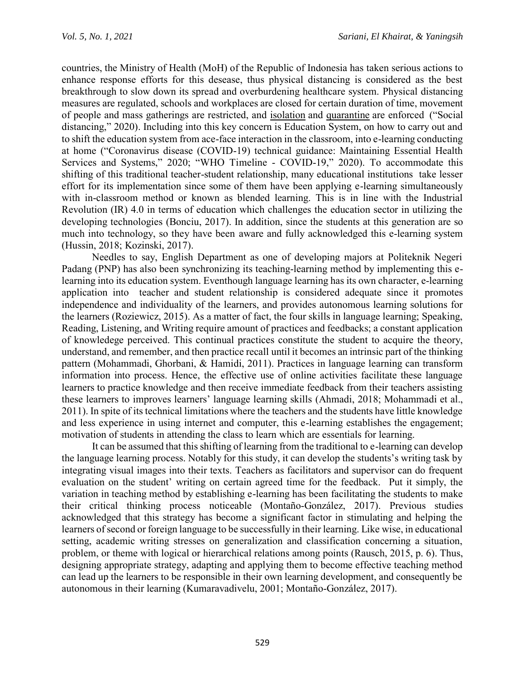countries, the Ministry of Health (MoH) of the Republic of Indonesia has taken serious actions to enhance response efforts for this desease, thus physical distancing is considered as the best breakthrough to slow down its spread and overburdening healthcare system. Physical distancing measures are regulated, schools and workplaces are closed for certain duration of time, movement of people and mass gatherings are restricted, and [isolation](https://en.wikipedia.org/wiki/Isolation_(health_care)) and [quarantine](https://en.wikipedia.org/wiki/Quarantine) are enforced ("Social distancing," 2020). Including into this key concern is Education System, on how to carry out and to shift the education system from ace-face interaction in the classroom, into e-learning conducting at home ("Coronavirus disease (COVID-19) technical guidance: Maintaining Essential Health Services and Systems," 2020; "WHO Timeline - COVID-19," 2020). To accommodate this shifting of this traditional teacher-student relationship, many educational institutions take lesser effort for its implementation since some of them have been applying e-learning simultaneously with in-classroom method or known as blended learning. This is in line with the Industrial Revolution (IR) 4.0 in terms of education which challenges the education sector in utilizing the developing technologies (Bonciu, 2017). In addition, since the students at this generation are so much into technology, so they have been aware and fully acknowledged this e-learning system (Hussin, 2018; Kozinski, 2017).

Needles to say, English Department as one of developing majors at Politeknik Negeri Padang (PNP) has also been synchronizing its teaching-learning method by implementing this elearning into its education system. Eventhough language learning has its own character, e-learning application into teacher and student relationship is considered adequate since it promotes independence and individuality of the learners, and provides autonomous learning solutions for the learners (Roziewicz, 2015). As a matter of fact, the four skills in language learning; Speaking, Reading, Listening, and Writing require amount of practices and feedbacks; a constant application of knowledege perceived. This continual practices constitute the student to acquire the theory, understand, and remember, and then practice recall until it becomes an intrinsic part of the thinking pattern (Mohammadi, Ghorbani, & Hamidi, 2011). Practices in language learning can transform information into process. Hence, the effective use of online activities facilitate these language learners to practice knowledge and then receive immediate feedback from their teachers assisting these learners to improves learners' language learning skills (Ahmadi, 2018; Mohammadi et al., 2011). In spite of its technical limitations where the teachers and the students have little knowledge and less experience in using internet and computer, this e-learning establishes the engagement; motivation of students in attending the class to learn which are essentials for learning.

It can be assumed that this shifting of learning from the traditional to e-learning can develop the language learning process. Notably for this study, it can develop the students's writing task by integrating visual images into their texts. Teachers as facilitators and supervisor can do frequent evaluation on the student' writing on certain agreed time for the feedback. Put it simply, the variation in teaching method by establishing e-learning has been facilitating the students to make their critical thinking process noticeable (Montaño-González, 2017). Previous studies acknowledged that this strategy has become a significant factor in stimulating and helping the learners of second or foreign language to be successfully in their learning. Like wise, in educational setting, academic writing stresses on generalization and classification concerning a situation, problem, or theme with logical or hierarchical relations among points (Rausch, 2015, p. 6). Thus, designing appropriate strategy, adapting and applying them to become effective teaching method can lead up the learners to be responsible in their own learning development, and consequently be autonomous in their learning (Kumaravadivelu, 2001; Montaño-González, 2017).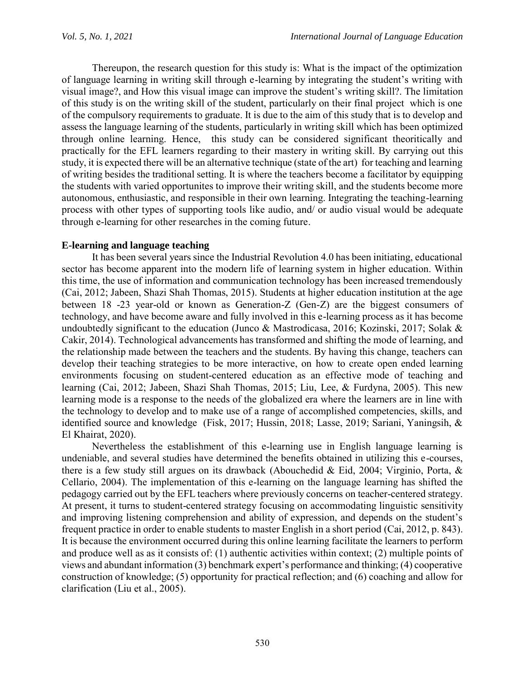Thereupon, the research question for this study is: What is the impact of the optimization of language learning in writing skill through e-learning by integrating the student's writing with visual image?, and How this visual image can improve the student's writing skill?. The limitation of this study is on the writing skill of the student, particularly on their final project which is one of the compulsory requirements to graduate. It is due to the aim of this study that is to develop and assess the language learning of the students, particularly in writing skill which has been optimized through online learning. Hence, this study can be considered significant theoritically and practically for the EFL learners regarding to their mastery in writing skill. By carrying out this study, it is expected there will be an alternative technique (state of the art) for teaching and learning of writing besides the traditional setting. It is where the teachers become a facilitator by equipping the students with varied opportunites to improve their writing skill, and the students become more autonomous, enthusiastic, and responsible in their own learning. Integrating the teaching-learning process with other types of supporting tools like audio, and/ or audio visual would be adequate through e-learning for other researches in the coming future.

## **E-learning and language teaching**

It has been several years since the Industrial Revolution 4.0 has been initiating, educational sector has become apparent into the modern life of learning system in higher education. Within this time, the use of information and communication technology has been increased tremendously (Cai, 2012; Jabeen, Shazi Shah Thomas, 2015). Students at higher education institution at the age between 18 -23 year-old or known as Generation-Z (Gen-Z) are the biggest consumers of technology, and have become aware and fully involved in this e-learning process as it has become undoubtedly significant to the education (Junco & Mastrodicasa, 2016; Kozinski, 2017; Solak & Cakir, 2014). Technological advancements has transformed and shifting the mode of learning, and the relationship made between the teachers and the students. By having this change, teachers can develop their teaching strategies to be more interactive, on how to create open ended learning environments focusing on student-centered education as an effective mode of teaching and learning (Cai, 2012; Jabeen, Shazi Shah Thomas, 2015; Liu, Lee, & Furdyna, 2005). This new learning mode is a response to the needs of the globalized era where the learners are in line with the technology to develop and to make use of a range of accomplished competencies, skills, and identified source and knowledge (Fisk, 2017; Hussin, 2018; Lasse, 2019; Sariani, Yaningsih, & El Khairat, 2020).

Nevertheless the establishment of this e-learning use in English language learning is undeniable, and several studies have determined the benefits obtained in utilizing this e-courses, there is a few study still argues on its drawback (Abouchedid & Eid, 2004; Virginio, Porta, & Cellario, 2004). The implementation of this e-learning on the language learning has shifted the pedagogy carried out by the EFL teachers where previously concerns on teacher-centered strategy. At present, it turns to student-centered strategy focusing on accommodating linguistic sensitivity and improving listening comprehension and ability of expression, and depends on the student's frequent practice in order to enable students to master English in a short period (Cai, 2012, p. 843). It is because the environment occurred during this online learning facilitate the learners to perform and produce well as as it consists of: (1) authentic activities within context; (2) multiple points of views and abundant information (3) benchmark expert's performance and thinking; (4) cooperative construction of knowledge; (5) opportunity for practical reflection; and (6) coaching and allow for clarification (Liu et al., 2005).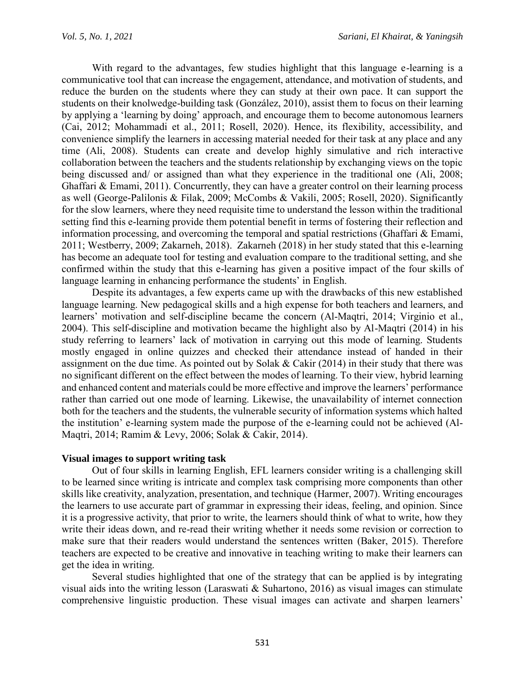With regard to the advantages, few studies highlight that this language e-learning is a communicative tool that can increase the engagement, attendance, and motivation of students, and reduce the burden on the students where they can study at their own pace. It can support the students on their knolwedge-building task (González, 2010), assist them to focus on their learning by applying a 'learning by doing' approach, and encourage them to become autonomous learners (Cai, 2012; Mohammadi et al., 2011; Rosell, 2020). Hence, its flexibility, accessibility, and convenience simplify the learners in accessing material needed for their task at any place and any time (Ali, 2008). Students can create and develop highly simulative and rich interactive collaboration between the teachers and the students relationship by exchanging views on the topic being discussed and/ or assigned than what they experience in the traditional one (Ali, 2008; Ghaffari & Emami, 2011). Concurrently, they can have a greater control on their learning process as well (George-Palilonis & Filak, 2009; McCombs & Vakili, 2005; Rosell, 2020). Significantly for the slow learners, where they need requisite time to understand the lesson within the traditional setting find this e-learning provide them potential benefit in terms of fostering their reflection and information processing, and overcoming the temporal and spatial restrictions (Ghaffari & Emami, 2011; Westberry, 2009; Zakarneh, 2018). Zakarneh (2018) in her study stated that this e-learning has become an adequate tool for testing and evaluation compare to the traditional setting, and she confirmed within the study that this e-learning has given a positive impact of the four skills of language learning in enhancing performance the students' in English.

Despite its advantages, a few experts came up with the drawbacks of this new established language learning. New pedagogical skills and a high expense for both teachers and learners, and learners' motivation and self-discipline became the concern (Al-Maqtri, 2014; Virginio et al., 2004). This self-discipline and motivation became the highlight also by Al-Maqtri (2014) in his study referring to learners' lack of motivation in carrying out this mode of learning. Students mostly engaged in online quizzes and checked their attendance instead of handed in their assignment on the due time. As pointed out by Solak & Cakir (2014) in their study that there was no significant different on the effect between the modes of learning. To their view, hybrid learning and enhanced content and materials could be more effective and improve the learners' performance rather than carried out one mode of learning. Likewise, the unavailability of internet connection both for the teachers and the students, the vulnerable security of information systems which halted the institution' e-learning system made the purpose of the e-learning could not be achieved (Al-Maqtri, 2014; Ramim & Levy, 2006; Solak & Cakir, 2014).

### **Visual images to support writing task**

Out of four skills in learning English, EFL learners consider writing is a challenging skill to be learned since writing is intricate and complex task comprising more components than other skills like creativity, analyzation, presentation, and technique (Harmer, 2007). Writing encourages the learners to use accurate part of grammar in expressing their ideas, feeling, and opinion. Since it is a progressive activity, that prior to write, the learners should think of what to write, how they write their ideas down, and re-read their writing whether it needs some revision or correction to make sure that their readers would understand the sentences written (Baker, 2015). Therefore teachers are expected to be creative and innovative in teaching writing to make their learners can get the idea in writing.

Several studies highlighted that one of the strategy that can be applied is by integrating visual aids into the writing lesson (Laraswati & Suhartono, 2016) as visual images can stimulate comprehensive linguistic production. These visual images can activate and sharpen learners'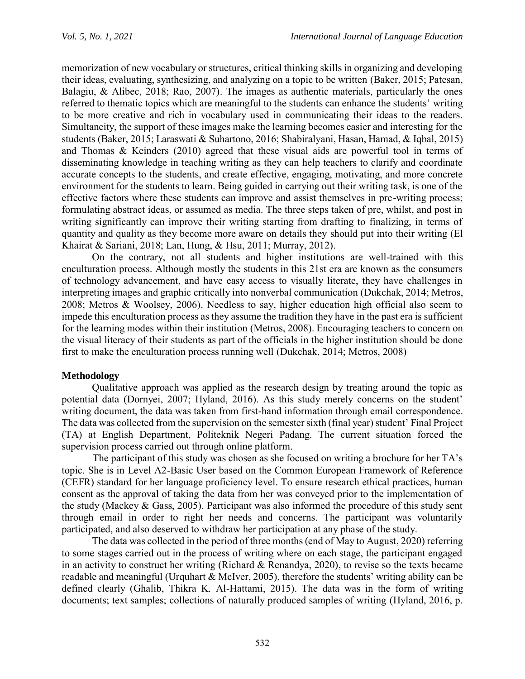memorization of new vocabulary or structures, critical thinking skills in organizing and developing their ideas, evaluating, synthesizing, and analyzing on a topic to be written (Baker, 2015; Patesan, Balagiu, & Alibec, 2018; Rao, 2007). The images as authentic materials, particularly the ones referred to thematic topics which are meaningful to the students can enhance the students' writing to be more creative and rich in vocabulary used in communicating their ideas to the readers. Simultaneity, the support of these images make the learning becomes easier and interesting for the students (Baker, 2015; Laraswati & Suhartono, 2016; Shabiralyani, Hasan, Hamad, & Iqbal, 2015) and Thomas & Keinders (2010) agreed that these visual aids are powerful tool in terms of disseminating knowledge in teaching writing as they can help teachers to clarify and coordinate accurate concepts to the students, and create effective, engaging, motivating, and more concrete environment for the students to learn. Being guided in carrying out their writing task, is one of the effective factors where these students can improve and assist themselves in pre-writing process; formulating abstract ideas, or assumed as media. The three steps taken of pre, whilst, and post in writing significantly can improve their writing starting from drafting to finalizing, in terms of quantity and quality as they become more aware on details they should put into their writing (El Khairat & Sariani, 2018; Lan, Hung, & Hsu, 2011; Murray, 2012).

On the contrary, not all students and higher institutions are well-trained with this enculturation process. Although mostly the students in this 21st era are known as the consumers of technology advancement, and have easy access to visually literate, they have challenges in interpreting images and graphic critically into nonverbal communication (Dukchak, 2014; Metros, 2008; Metros & Woolsey, 2006). Needless to say, higher education high official also seem to impede this enculturation process as they assume the tradition they have in the past era is sufficient for the learning modes within their institution (Metros, 2008). Encouraging teachers to concern on the visual literacy of their students as part of the officials in the higher institution should be done first to make the enculturation process running well (Dukchak, 2014; Metros, 2008)

## **Methodology**

Qualitative approach was applied as the research design by treating around the topic as potential data (Dornyei, 2007; Hyland, 2016). As this study merely concerns on the student' writing document, the data was taken from first-hand information through email correspondence. The data was collected from the supervision on the semester sixth (final year) student' Final Project (TA) at English Department, Politeknik Negeri Padang. The current situation forced the supervision process carried out through online platform.

The participant of this study was chosen as she focused on writing a brochure for her TA's topic. She is in Level A2-Basic User based on the Common European Framework of Reference (CEFR) standard for her language proficiency level. To ensure research ethical practices, human consent as the approval of taking the data from her was conveyed prior to the implementation of the study (Mackey & Gass, 2005). Participant was also informed the procedure of this study sent through email in order to right her needs and concerns. The participant was voluntarily participated, and also deserved to withdraw her participation at any phase of the study.

The data was collected in the period of three months (end of May to August, 2020) referring to some stages carried out in the process of writing where on each stage, the participant engaged in an activity to construct her writing (Richard & Renandya, 2020), to revise so the texts became readable and meaningful (Urquhart & McIver, 2005), therefore the students' writing ability can be defined clearly (Ghalib, Thikra K. Al-Hattami, 2015). The data was in the form of writing documents; text samples; collections of naturally produced samples of writing (Hyland, 2016, p.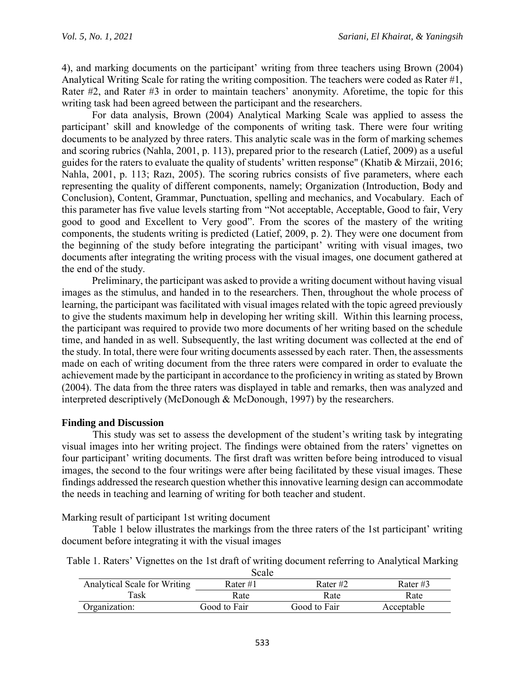4), and marking documents on the participant' writing from three teachers using Brown (2004) Analytical Writing Scale for rating the writing composition. The teachers were coded as Rater #1, Rater #2, and Rater #3 in order to maintain teachers' anonymity. Aforetime, the topic for this writing task had been agreed between the participant and the researchers.

For data analysis, Brown (2004) Analytical Marking Scale was applied to assess the participant' skill and knowledge of the components of writing task. There were four writing documents to be analyzed by three raters. This analytic scale was in the form of marking schemes and scoring rubrics (Nahla, 2001, p. 113), prepared prior to the research (Latief, 2009) as a useful guides for the raters to evaluate the quality of students' written response" (Khatib & Mirzaii, 2016; Nahla, 2001, p. 113; Razı, 2005). The scoring rubrics consists of five parameters, where each representing the quality of different components, namely; Organization (Introduction, Body and Conclusion), Content, Grammar, Punctuation, spelling and mechanics, and Vocabulary. Each of this parameter has five value levels starting from "Not acceptable, Acceptable, Good to fair, Very good to good and Excellent to Very good". From the scores of the mastery of the writing components, the students writing is predicted (Latief, 2009, p. 2). They were one document from the beginning of the study before integrating the participant' writing with visual images, two documents after integrating the writing process with the visual images, one document gathered at the end of the study.

Preliminary, the participant was asked to provide a writing document without having visual images as the stimulus, and handed in to the researchers. Then, throughout the whole process of learning, the participant was facilitated with visual images related with the topic agreed previously to give the students maximum help in developing her writing skill. Within this learning process, the participant was required to provide two more documents of her writing based on the schedule time, and handed in as well. Subsequently, the last writing document was collected at the end of the study. In total, there were four writing documents assessed by each rater. Then, the assessments made on each of writing document from the three raters were compared in order to evaluate the achievement made by the participant in accordance to the proficiency in writing as stated by Brown (2004). The data from the three raters was displayed in table and remarks, then was analyzed and interpreted descriptively (McDonough & McDonough, 1997) by the researchers.

### **Finding and Discussion**

This study was set to assess the development of the student's writing task by integrating visual images into her writing project. The findings were obtained from the raters' vignettes on four participant' writing documents. The first draft was written before being introduced to visual images, the second to the four writings were after being facilitated by these visual images. These findings addressed the research question whether this innovative learning design can accommodate the needs in teaching and learning of writing for both teacher and student.

Marking result of participant 1st writing document

Table 1 below illustrates the markings from the three raters of the 1st participant' writing document before integrating it with the visual images

Table 1. Raters' Vignettes on the 1st draft of writing document referring to Analytical Marking Scale

| pualu                        |              |              |            |  |  |  |
|------------------------------|--------------|--------------|------------|--|--|--|
| Analytical Scale for Writing | Rater $#1$   | Rater#2      | Rater $#3$ |  |  |  |
| Task                         | Rate         | Rate         | Rate       |  |  |  |
| Organization:                | Good to Fair | Good to Fair | Acceptable |  |  |  |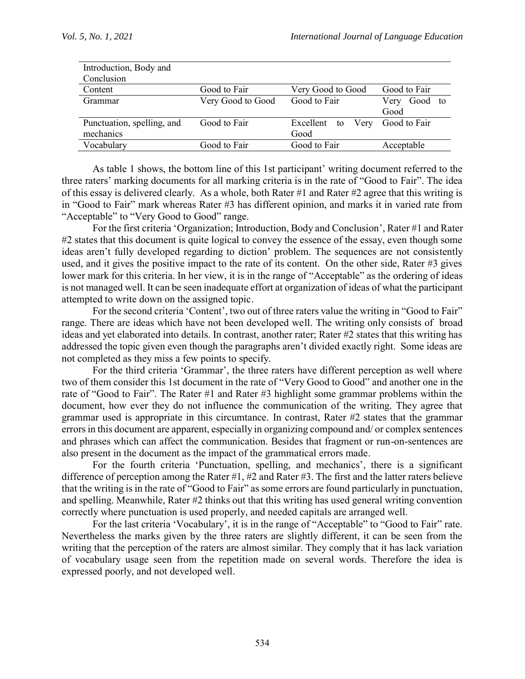| Introduction, Body and     |                   |                         |                 |  |
|----------------------------|-------------------|-------------------------|-----------------|--|
| Conclusion                 |                   |                         |                 |  |
| Content                    | Good to Fair      | Very Good to Good       | Good to Fair    |  |
| Grammar                    | Very Good to Good | Good to Fair            | Good to<br>Very |  |
|                            |                   |                         | Good            |  |
| Punctuation, spelling, and | Good to Fair      | Excellent<br>Very<br>to | Good to Fair    |  |
| mechanics                  |                   | Good                    |                 |  |
| Vocabulary                 | Good to Fair      | Good to Fair            | Acceptable      |  |

As table 1 shows, the bottom line of this 1st participant' writing document referred to the three raters' marking documents for all marking criteria is in the rate of "Good to Fair". The idea of this essay is delivered clearly. As a whole, both Rater #1 and Rater #2 agree that this writing is in "Good to Fair" mark whereas Rater #3 has different opinion, and marks it in varied rate from "Acceptable" to "Very Good to Good" range.

For the first criteria 'Organization; Introduction, Body and Conclusion', Rater #1 and Rater #2 states that this document is quite logical to convey the essence of the essay, even though some ideas aren't fully developed regarding to diction' problem. The sequences are not consistently used, and it gives the positive impact to the rate of its content. On the other side, Rater #3 gives lower mark for this criteria. In her view, it is in the range of "Acceptable" as the ordering of ideas is not managed well. It can be seen inadequate effort at organization of ideas of what the participant attempted to write down on the assigned topic.

For the second criteria 'Content', two out of three raters value the writing in "Good to Fair" range. There are ideas which have not been developed well. The writing only consists of broad ideas and yet elaborated into details. In contrast, another rater; Rater #2 states that this writing has addressed the topic given even though the paragraphs aren't divided exactly right. Some ideas are not completed as they miss a few points to specify.

For the third criteria 'Grammar', the three raters have different perception as well where two of them consider this 1st document in the rate of "Very Good to Good" and another one in the rate of "Good to Fair". The Rater #1 and Rater #3 highlight some grammar problems within the document, how ever they do not influence the communication of the writing. They agree that grammar used is appropriate in this circumtance. In contrast, Rater #2 states that the grammar errors in this document are apparent, especially in organizing compound and/ or complex sentences and phrases which can affect the communication. Besides that fragment or run-on-sentences are also present in the document as the impact of the grammatical errors made.

For the fourth criteria 'Punctuation, spelling, and mechanics', there is a significant difference of perception among the Rater #1, #2 and Rater #3. The first and the latter raters believe that the writing is in the rate of "Good to Fair" as some errors are found particularly in punctuation, and spelling. Meanwhile, Rater #2 thinks out that this writing has used general writing convention correctly where punctuation is used properly, and needed capitals are arranged well.

For the last criteria 'Vocabulary', it is in the range of "Acceptable" to "Good to Fair" rate. Nevertheless the marks given by the three raters are slightly different, it can be seen from the writing that the perception of the raters are almost similar. They comply that it has lack variation of vocabulary usage seen from the repetition made on several words. Therefore the idea is expressed poorly, and not developed well.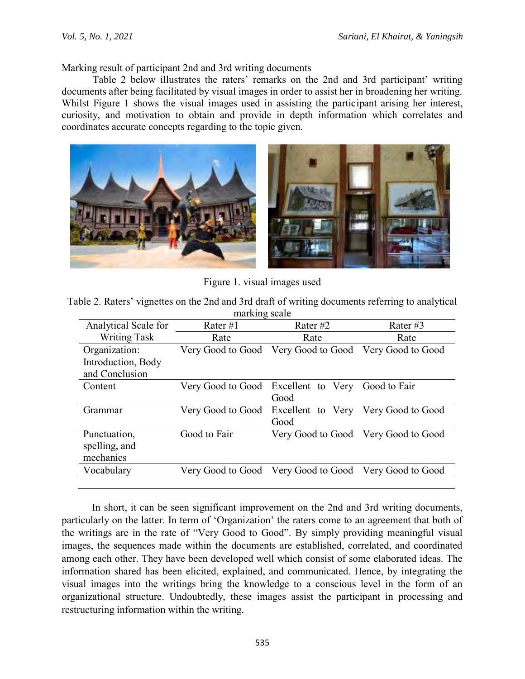Marking result of participant 2nd and 3rd writing documents

Table 2 below illustrates the raters' remarks on the 2nd and 3rd participant' writing documents after being facilitated by visual images in order to assist her in broadening her writing. Whilst Figure 1 shows the visual images used in assisting the participant arising her interest, curiosity, and motivation to obtain and provide in depth information which correlates and coordinates accurate concepts regarding to the topic given.



Figure 1. visual images used

| Table 2. Raters' vignettes on the 2nd and 3rd draft of writing documents referring to analytical |  |
|--------------------------------------------------------------------------------------------------|--|
| marking scale                                                                                    |  |

| Analytical Scale for | Rater $#1$        | Rater $#2$        | Rater #3                            |  |
|----------------------|-------------------|-------------------|-------------------------------------|--|
| <b>Writing Task</b>  | Rate              | Rate              | Rate                                |  |
| Organization:        | Very Good to Good | Very Good to Good | Very Good to Good                   |  |
| Introduction, Body   |                   |                   |                                     |  |
| and Conclusion       |                   |                   |                                     |  |
| Content              | Very Good to Good | Excellent to Very | Good to Fair                        |  |
|                      |                   | Good              |                                     |  |
| Grammar              | Very Good to Good | Excellent to Very | Very Good to Good                   |  |
|                      |                   | Good              |                                     |  |
| Punctuation,         | Good to Fair      |                   | Very Good to Good Very Good to Good |  |
| spelling, and        |                   |                   |                                     |  |
| mechanics            |                   |                   |                                     |  |
| Vocabulary           | Very Good to Good | Very Good to Good | Very Good to Good                   |  |
|                      |                   |                   |                                     |  |

In short, it can be seen significant improvement on the 2nd and 3rd writing documents, particularly on the latter. In term of 'Organization' the raters come to an agreement that both of the writings are in the rate of "Very Good to Good". By simply providing meaningful visual images, the sequences made within the documents are established, correlated, and coordinated among each other. They have been developed well which consist of some elaborated ideas. The information shared has been elicited, explained, and communicated. Hence, by integrating the visual images into the writings bring the knowledge to a conscious level in the form of an organizational structure. Undoubtedly, these images assist the participant in processing and restructuring information within the writing.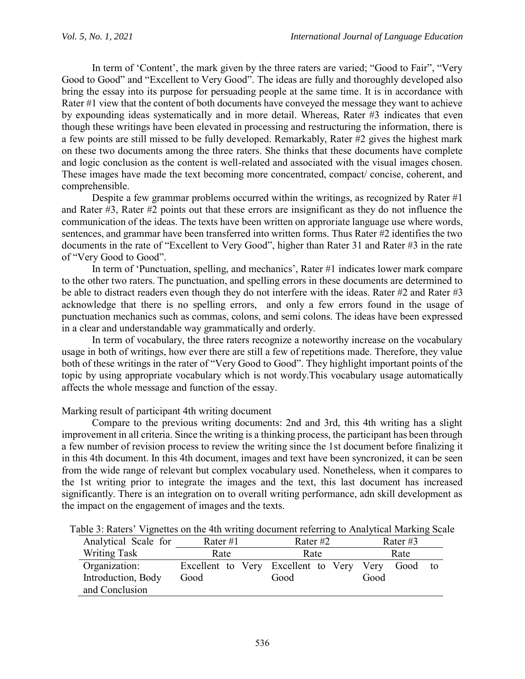In term of 'Content', the mark given by the three raters are varied; "Good to Fair", "Very Good to Good" and "Excellent to Very Good". The ideas are fully and thoroughly developed also bring the essay into its purpose for persuading people at the same time. It is in accordance with Rater #1 view that the content of both documents have conveyed the message they want to achieve by expounding ideas systematically and in more detail. Whereas, Rater #3 indicates that even though these writings have been elevated in processing and restructuring the information, there is a few points are still missed to be fully developed. Remarkably, Rater #2 gives the highest mark on these two documents among the three raters. She thinks that these documents have complete and logic conclusion as the content is well-related and associated with the visual images chosen. These images have made the text becoming more concentrated, compact/ concise, coherent, and comprehensible.

Despite a few grammar problems occurred within the writings, as recognized by Rater #1 and Rater #3, Rater #2 points out that these errors are insignificant as they do not influence the communication of the ideas. The texts have been written on approriate language use where words, sentences, and grammar have been transferred into written forms. Thus Rater #2 identifies the two documents in the rate of "Excellent to Very Good", higher than Rater 31 and Rater #3 in the rate of "Very Good to Good".

In term of 'Punctuation, spelling, and mechanics', Rater #1 indicates lower mark compare to the other two raters. The punctuation, and spelling errors in these documents are determined to be able to distract readers even though they do not interfere with the ideas. Rater #2 and Rater #3 acknowledge that there is no spelling errors, and only a few errors found in the usage of punctuation mechanics such as commas, colons, and semi colons. The ideas have been expressed in a clear and understandable way grammatically and orderly.

In term of vocabulary, the three raters recognize a noteworthy increase on the vocabulary usage in both of writings, how ever there are still a few of repetitions made. Therefore, they value both of these writings in the rater of "Very Good to Good". They highlight important points of the topic by using appropriate vocabulary which is not wordy.This vocabulary usage automatically affects the whole message and function of the essay.

## Marking result of participant 4th writing document

Compare to the previous writing documents: 2nd and 3rd, this 4th writing has a slight improvement in all criteria. Since the writing is a thinking process, the participant has been through a few number of revision process to review the writing since the 1st document before finalizing it in this 4th document. In this 4th document, images and text have been syncronized, it can be seen from the wide range of relevant but complex vocabulary used. Nonetheless, when it compares to the 1st writing prior to integrate the images and the text, this last document has increased significantly. There is an integration on to overall writing performance, adn skill development as the impact on the engagement of images and the texts.

| Analytical Scale for | Rater #1                            | Rater #2 |      | Rater #3 |    |
|----------------------|-------------------------------------|----------|------|----------|----|
| <b>Writing Task</b>  | Rate                                | Rate     |      | Rate     |    |
| Organization:        | Excellent to Very Excellent to Very |          | Very | Good     | to |
| Introduction, Body   | Good                                | Good     | Good |          |    |
| and Conclusion       |                                     |          |      |          |    |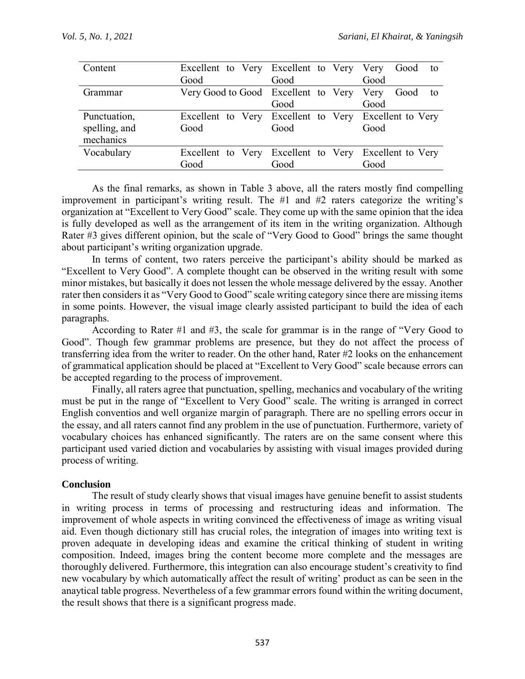|      |      | Good to                                                                                                                                                                                                |
|------|------|--------------------------------------------------------------------------------------------------------------------------------------------------------------------------------------------------------|
| Good | Good | Good                                                                                                                                                                                                   |
|      |      | Good<br>- to                                                                                                                                                                                           |
|      | Good | Good                                                                                                                                                                                                   |
|      |      |                                                                                                                                                                                                        |
| Good | Good | Good                                                                                                                                                                                                   |
|      |      |                                                                                                                                                                                                        |
|      |      |                                                                                                                                                                                                        |
| Good | Good | Good                                                                                                                                                                                                   |
|      |      | Excellent to Very Excellent to Very Very<br>Very Good to Good Excellent to Very Very<br>Excellent to Very Excellent to Very Excellent to Very<br>Excellent to Very Excellent to Very Excellent to Very |

As the final remarks, as shown in Table 3 above, all the raters mostly find compelling improvement in participant's writing result. The #1 and #2 raters categorize the writing's organization at "Excellent to Very Good" scale. They come up with the same opinion that the idea is fully developed as well as the arrangement of its item in the writing organization. Although Rater #3 gives different opinion, but the scale of "Very Good to Good" brings the same thought about participant's writing organization upgrade.

In terms of content, two raters perceive the participant's ability should be marked as "Excellent to Very Good". A complete thought can be observed in the writing result with some minor mistakes, but basically it does not lessen the whole message delivered by the essay. Another rater then considers it as "Very Good to Good" scale writing category since there are missing items in some points. However, the visual image clearly assisted participant to build the idea of each paragraphs.

According to Rater #1 and #3, the scale for grammar is in the range of "Very Good to Good". Though few grammar problems are presence, but they do not affect the process of transferring idea from the writer to reader. On the other hand, Rater #2 looks on the enhancement of grammatical application should be placed at "Excellent to Very Good" scale because errors can be accepted regarding to the process of improvement.

Finally, all raters agree that punctuation, spelling, mechanics and vocabulary of the writing must be put in the range of "Excellent to Very Good" scale. The writing is arranged in correct English conventios and well organize margin of paragraph. There are no spelling errors occur in the essay, and all raters cannot find any problem in the use of punctuation. Furthermore, variety of vocabulary choices has enhanced significantly. The raters are on the same consent where this participant used varied diction and vocabularies by assisting with visual images provided during process of writing.

## **Conclusion**

The result of study clearly shows that visual images have genuine benefit to assist students in writing process in terms of processing and restructuring ideas and information. The improvement of whole aspects in writing convinced the effectiveness of image as writing visual aid. Even though dictionary still has crucial roles, the integration of images into writing text is proven adequate in developing ideas and examine the critical thinking of student in writing composition. Indeed, images bring the content become more complete and the messages are thoroughly delivered. Furthermore, this integration can also encourage student's creativity to find new vocabulary by which automatically affect the result of writing' product as can be seen in the anaytical table progress. Nevertheless of a few grammar errors found within the writing document, the result shows that there is a significant progress made.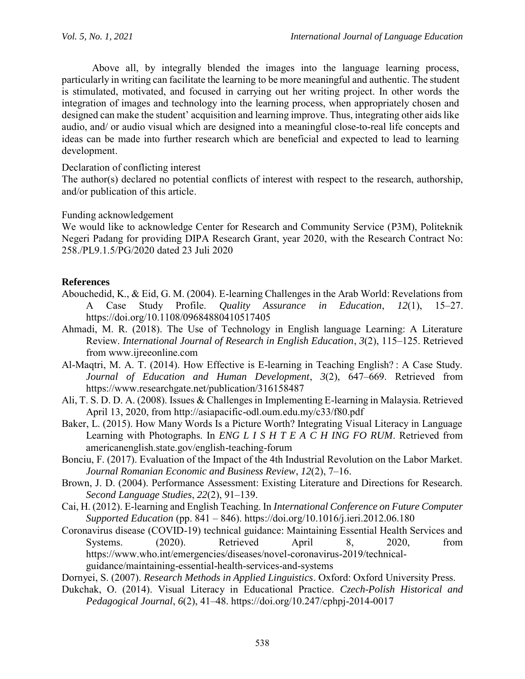Above all, by integrally blended the images into the language learning process, particularly in writing can facilitate the learning to be more meaningful and authentic. The student is stimulated, motivated, and focused in carrying out her writing project. In other words the integration of images and technology into the learning process, when appropriately chosen and designed can make the student' acquisition and learning improve. Thus, integrating other aids like audio, and/ or audio visual which are designed into a meaningful close-to-real life concepts and ideas can be made into further research which are beneficial and expected to lead to learning development.

### Declaration of conflicting interest

The author(s) declared no potential conflicts of interest with respect to the research, authorship, and/or publication of this article.

### Funding acknowledgement

We would like to acknowledge Center for Research and Community Service (P3M), Politeknik Negeri Padang for providing DIPA Research Grant, year 2020, with the Research Contract No: 258./PL9.1.5/PG/2020 dated 23 Juli 2020

## **References**

- Abouchedid, K., & Eid, G. M. (2004). E-learning Challenges in the Arab World: Revelations from A Case Study Profile. *Quality Assurance in Education*, *12*(1), 15–27. https://doi.org/10.1108/09684880410517405
- Ahmadi, M. R. (2018). The Use of Technology in English language Learning: A Literature Review. *International Journal of Research in English Education*, *3*(2), 115–125. Retrieved from www.ijreeonline.com
- Al-Maqtri, M. A. T. (2014). How Effective is E-learning in Teaching English? : A Case Study. *Journal of Education and Human Development*, *3*(2), 647–669. Retrieved from https://www.researchgate.net/publication/316158487
- Ali, T. S. D. D. A. (2008). Issues & Challenges in Implementing E-learning in Malaysia. Retrieved April 13, 2020, from http://asiapacific-odl.oum.edu.my/c33/f80.pdf
- Baker, L. (2015). How Many Words Is a Picture Worth? Integrating Visual Literacy in Language Learning with Photographs. In *ENG L I S H T E A C H ING FO RUM*. Retrieved from americanenglish.state.gov/english-teaching-forum
- Bonciu, F. (2017). Evaluation of the Impact of the 4th Industrial Revolution on the Labor Market. *Journal Romanian Economic and Business Review*, *12*(2), 7–16.
- Brown, J. D. (2004). Performance Assessment: Existing Literature and Directions for Research. *Second Language Studies*, *22*(2), 91–139.
- Cai, H. (2012). E-learning and English Teaching. In *International Conference on Future Computer Supported Education* (pp. 841 – 846). https://doi.org/10.1016/j.ieri.2012.06.180
- Coronavirus disease (COVID-19) technical guidance: Maintaining Essential Health Services and Systems. (2020). Retrieved April 8, 2020, from https://www.who.int/emergencies/diseases/novel-coronavirus-2019/technicalguidance/maintaining-essential-health-services-and-systems
- Dornyei, S. (2007). *Research Methods in Applied Linguistics*. Oxford: Oxford University Press.
- Dukchak, O. (2014). Visual Literacy in Educational Practice. *Czech-Polish Historical and Pedagogical Journal*, *6*(2), 41–48. https://doi.org/10.247/cphpj-2014-0017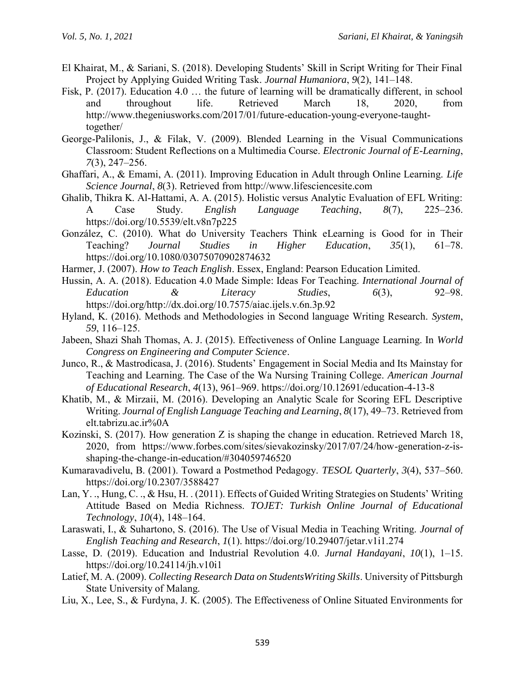- El Khairat, M., & Sariani, S. (2018). Developing Students' Skill in Script Writing for Their Final Project by Applying Guided Writing Task. *Journal Humaniora*, *9*(2), 141–148.
- Fisk, P. (2017). Education 4.0 … the future of learning will be dramatically different, in school and throughout life. Retrieved March 18, 2020, from http://www.thegeniusworks.com/2017/01/future-education-young-everyone-taughttogether/
- George-Palilonis, J., & Filak, V. (2009). Blended Learning in the Visual Communications Classroom: Student Reflections on a Multimedia Course. *Electronic Journal of E-Learning*, *7*(3), 247–256.
- Ghaffari, A., & Emami, A. (2011). Improving Education in Adult through Online Learning. *Life Science Journal*, *8*(3). Retrieved from http://www.lifesciencesite.com
- Ghalib, Thikra K. Al-Hattami, A. A. (2015). Holistic versus Analytic Evaluation of EFL Writing: A Case Study. *English Language Teaching*, *8*(7), 225–236. https://doi.org/10.5539/elt.v8n7p225
- González, C. (2010). What do University Teachers Think eLearning is Good for in Their Teaching? *Journal Studies in Higher Education*, *35*(1), 61–78. https://doi.org/10.1080/03075070902874632
- Harmer, J. (2007). *How to Teach English*. Essex, England: Pearson Education Limited.
- Hussin, A. A. (2018). Education 4.0 Made Simple: Ideas For Teaching. *International Journal of Education & Literacy Studies*, *6*(3), 92–98. https://doi.org/http://dx.doi.org/10.7575/aiac.ijels.v.6n.3p.92
- Hyland, K. (2016). Methods and Methodologies in Second language Writing Research. *System*, *59*, 116–125.
- Jabeen, Shazi Shah Thomas, A. J. (2015). Effectiveness of Online Language Learning. In *World Congress on Engineering and Computer Science*.
- Junco, R., & Mastrodicasa, J. (2016). Students' Engagement in Social Media and Its Mainstay for Teaching and Learning. The Case of the Wa Nursing Training College. *American Journal of Educational Research*, *4*(13), 961–969. https://doi.org/10.12691/education-4-13-8
- Khatib, M., & Mirzaii, M. (2016). Developing an Analytic Scale for Scoring EFL Descriptive Writing. *Journal of English Language Teaching and Learning*, *8*(17), 49–73. Retrieved from elt.tabrizu.ac.ir%0A
- Kozinski, S. (2017). How generation Z is shaping the change in education. Retrieved March 18, 2020, from https://www.forbes.com/sites/sievakozinsky/2017/07/24/how-generation-z-isshaping-the-change-in-education/#304059746520
- Kumaravadivelu, B. (2001). Toward a Postmethod Pedagogy. *TESOL Quarterly*, *3*(4), 537–560. https://doi.org/10.2307/3588427
- Lan, Y. ., Hung, C. ., & Hsu, H. . (2011). Effects of Guided Writing Strategies on Students' Writing Attitude Based on Media Richness. *TOJET: Turkish Online Journal of Educational Technology*, *10*(4), 148–164.
- Laraswati, I., & Suhartono, S. (2016). The Use of Visual Media in Teaching Writing. *Journal of English Teaching and Research*, *1*(1). https://doi.org/10.29407/jetar.v1i1.274
- Lasse, D. (2019). Education and Industrial Revolution 4.0. *Jurnal Handayani*, *10*(1), 1–15. https://doi.org/10.24114/jh.v10i1
- Latief, M. A. (2009). *Collecting Research Data on StudentsWriting Skills*. University of Pittsburgh State University of Malang.
- Liu, X., Lee, S., & Furdyna, J. K. (2005). The Effectiveness of Online Situated Environments for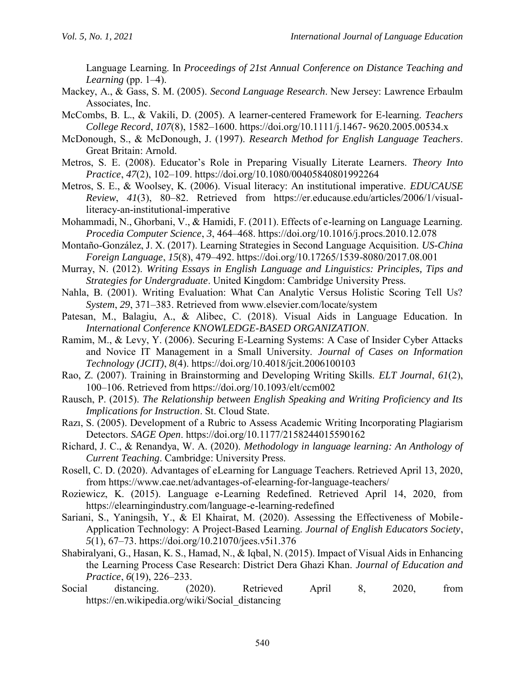Language Learning. In *Proceedings of 21st Annual Conference on Distance Teaching and Learning* (pp. 1–4).

- Mackey, A., & Gass, S. M. (2005). *Second Language Research*. New Jersey: Lawrence Erbaulm Associates, Inc.
- McCombs, B. L., & Vakili, D. (2005). A learner-centered Framework for E-learning. *Teachers College Record*, *107*(8), 1582–1600. https://doi.org/10.1111/j.1467- 9620.2005.00534.x
- McDonough, S., & McDonough, J. (1997). *Research Method for English Language Teachers*. Great Britain: Arnold.
- Metros, S. E. (2008). Educator's Role in Preparing Visually Literate Learners. *Theory Into Practice*, *47*(2), 102–109. https://doi.org/10.1080/00405840801992264
- Metros, S. E., & Woolsey, K. (2006). Visual literacy: An institutional imperative. *EDUCAUSE Review*, *41*(3), 80–82. Retrieved from https://er.educause.edu/articles/2006/1/visualliteracy-an-institutional-imperative
- Mohammadi, N., Ghorbani, V., & Hamidi, F. (2011). Effects of e-learning on Language Learning. *Procedia Computer Science*, *3*, 464–468. https://doi.org/10.1016/j.procs.2010.12.078
- Montaño-González, J. X. (2017). Learning Strategies in Second Language Acquisition. *US-China Foreign Language*, *15*(8), 479–492. https://doi.org/10.17265/1539-8080/2017.08.001
- Murray, N. (2012). *Writing Essays in English Language and Linguistics: Principles, Tips and Strategies for Undergraduate*. United Kingdom: Cambridge University Press.
- Nahla, B. (2001). Writing Evaluation: What Can Analytic Versus Holistic Scoring Tell Us? *System*, *29*, 371–383. Retrieved from www.elsevier.com/locate/system
- Patesan, M., Balagiu, A., & Alibec, C. (2018). Visual Aids in Language Education. In *International Conference KNOWLEDGE-BASED ORGANIZATION*.
- Ramim, M., & Levy, Y. (2006). Securing E-Learning Systems: A Case of Insider Cyber Attacks and Novice IT Management in a Small University. *Journal of Cases on Information Technology (JCIT)*, *8*(4). https://doi.org/10.4018/jcit.2006100103
- Rao, Z. (2007). Training in Brainstorming and Developing Writing Skills. *ELT Journal*, *61*(2), 100–106. Retrieved from https://doi.org/10.1093/elt/ccm002
- Rausch, P. (2015). *The Relationship between English Speaking and Writing Proficiency and Its Implications for Instruction*. St. Cloud State.
- Razı, S. (2005). Development of a Rubric to Assess Academic Writing Incorporating Plagiarism Detectors. *SAGE Open*. https://doi.org/10.1177/2158244015590162
- Richard, J. C., & Renandya, W. A. (2020). *Methodology in language learning: An Anthology of Current Teaching*. Cambridge: University Press.
- Rosell, C. D. (2020). Advantages of eLearning for Language Teachers. Retrieved April 13, 2020, from https://www.cae.net/advantages-of-elearning-for-language-teachers/
- Roziewicz, K. (2015). Language e-Learning Redefined. Retrieved April 14, 2020, from https://elearningindustry.com/language-e-learning-redefined
- Sariani, S., Yaningsih, Y., & El Khairat, M. (2020). Assessing the Effectiveness of Mobile-Application Technology: A Project-Based Learning. *Journal of English Educators Society*, *5*(1), 67–73. https://doi.org/10.21070/jees.v5i1.376
- Shabiralyani, G., Hasan, K. S., Hamad, N., & Iqbal, N. (2015). Impact of Visual Aids in Enhancing the Learning Process Case Research: District Dera Ghazi Khan. *Journal of Education and Practice*, *6*(19), 226–233.
- Social distancing. (2020). Retrieved April 8, 2020, from https://en.wikipedia.org/wiki/Social\_distancing